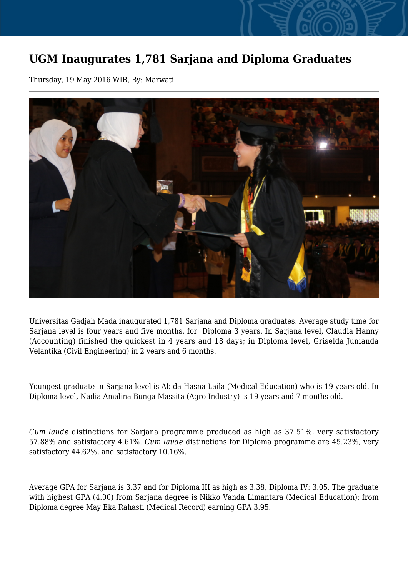## **UGM Inaugurates 1,781 Sarjana and Diploma Graduates**

Thursday, 19 May 2016 WIB, By: Marwati



Universitas Gadjah Mada inaugurated 1,781 Sarjana and Diploma graduates. Average study time for Sarjana level is four years and five months, for Diploma 3 years. In Sarjana level, Claudia Hanny (Accounting) finished the quickest in 4 years and 18 days; in Diploma level, Griselda Junianda Velantika (Civil Engineering) in 2 years and 6 months.

Youngest graduate in Sarjana level is Abida Hasna Laila (Medical Education) who is 19 years old. In Diploma level, Nadia Amalina Bunga Massita (Agro-Industry) is 19 years and 7 months old.

*Cum laude* distinctions for Sarjana programme produced as high as 37.51%, very satisfactory 57.88% and satisfactory 4.61%. *Cum laude* distinctions for Diploma programme are 45.23%, very satisfactory 44.62%, and satisfactory 10.16%.

Average GPA for Sarjana is 3.37 and for Diploma III as high as 3.38, Diploma IV: 3.05. The graduate with highest GPA (4.00) from Sarjana degree is Nikko Vanda Limantara (Medical Education); from Diploma degree May Eka Rahasti (Medical Record) earning GPA 3.95.